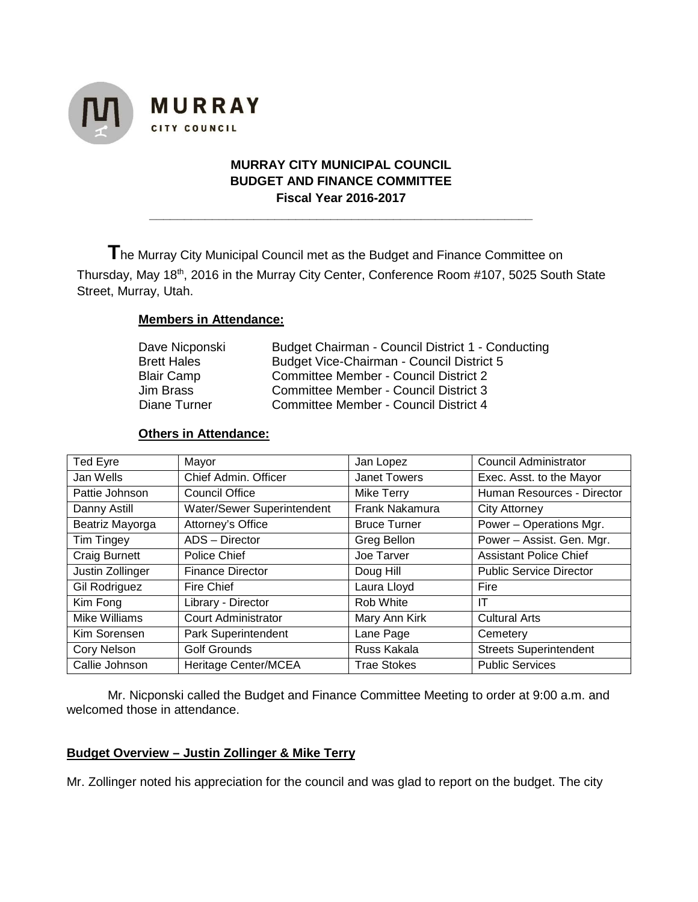



**\_\_\_\_\_\_\_\_\_\_\_\_\_\_\_\_\_\_\_\_\_\_\_\_\_\_\_\_\_\_\_\_\_\_\_\_\_\_\_\_\_\_\_\_\_\_\_\_\_\_\_\_\_\_\_**

**T**he Murray City Municipal Council met as the Budget and Finance Committee on Thursday, May 18<sup>th</sup>, 2016 in the Murray City Center, Conference Room #107, 5025 South State Street, Murray, Utah.

### **Members in Attendance:**

**MURRAY** 

CITY COUNCIL

| Budget Chairman - Council District 1 - Conducting |
|---------------------------------------------------|
| Budget Vice-Chairman - Council District 5         |
| <b>Committee Member - Council District 2</b>      |
| <b>Committee Member - Council District 3</b>      |
| Committee Member - Council District 4             |
|                                                   |

#### **Others in Attendance:**

| Ted Eyre             | Mayor                      | Jan Lopez           | <b>Council Administrator</b>   |
|----------------------|----------------------------|---------------------|--------------------------------|
| Jan Wells            | Chief Admin. Officer       | Janet Towers        | Exec. Asst. to the Mayor       |
| Pattie Johnson       | <b>Council Office</b>      | <b>Mike Terry</b>   | Human Resources - Director     |
| Danny Astill         | Water/Sewer Superintendent | Frank Nakamura      | <b>City Attorney</b>           |
| Beatriz Mayorga      | Attorney's Office          | <b>Bruce Turner</b> | Power - Operations Mgr.        |
| Tim Tingey           | ADS - Director             | Greg Bellon         | Power - Assist. Gen. Mgr.      |
| <b>Craig Burnett</b> | Police Chief               | Joe Tarver          | <b>Assistant Police Chief</b>  |
| Justin Zollinger     | <b>Finance Director</b>    | Doug Hill           | <b>Public Service Director</b> |
| Gil Rodriguez        | Fire Chief                 | Laura Lloyd         | Fire                           |
| Kim Fong             | Library - Director         | Rob White           | ΙT                             |
| Mike Williams        | <b>Court Administrator</b> | Mary Ann Kirk       | <b>Cultural Arts</b>           |
| Kim Sorensen         | Park Superintendent        | Lane Page           | Cemetery                       |
| Cory Nelson          | Golf Grounds               | Russ Kakala         | <b>Streets Superintendent</b>  |
| Callie Johnson       | Heritage Center/MCEA       | <b>Trae Stokes</b>  | <b>Public Services</b>         |

Mr. Nicponski called the Budget and Finance Committee Meeting to order at 9:00 a.m. and welcomed those in attendance.

### **Budget Overview – Justin Zollinger & Mike Terry**

Mr. Zollinger noted his appreciation for the council and was glad to report on the budget. The city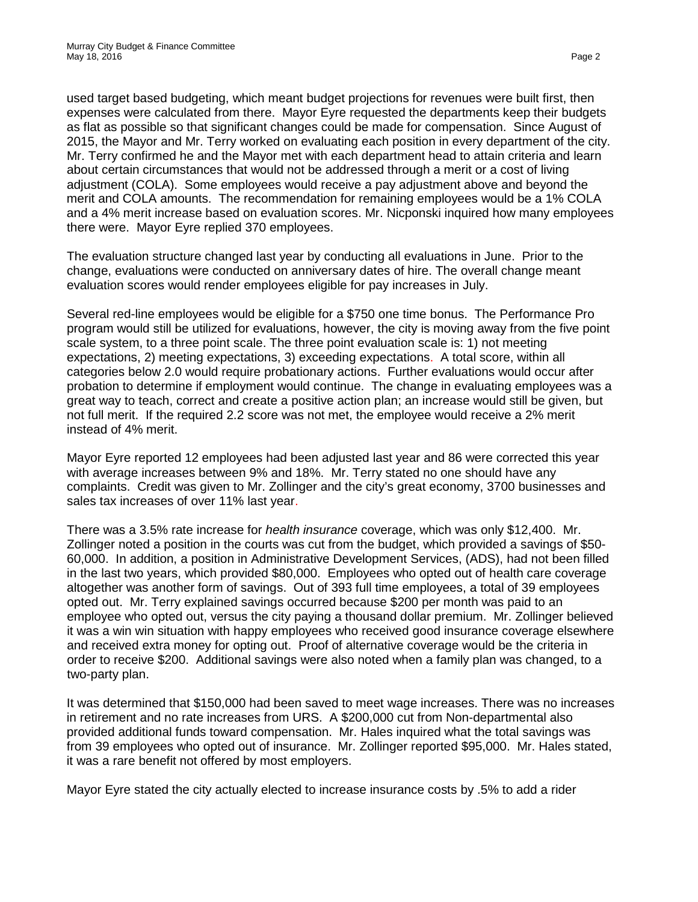used target based budgeting, which meant budget projections for revenues were built first, then expenses were calculated from there. Mayor Eyre requested the departments keep their budgets as flat as possible so that significant changes could be made for compensation. Since August of 2015, the Mayor and Mr. Terry worked on evaluating each position in every department of the city. Mr. Terry confirmed he and the Mayor met with each department head to attain criteria and learn about certain circumstances that would not be addressed through a merit or a cost of living adjustment (COLA). Some employees would receive a pay adjustment above and beyond the merit and COLA amounts. The recommendation for remaining employees would be a 1% COLA and a 4% merit increase based on evaluation scores. Mr. Nicponski inquired how many employees there were. Mayor Eyre replied 370 employees.

The evaluation structure changed last year by conducting all evaluations in June. Prior to the change, evaluations were conducted on anniversary dates of hire. The overall change meant evaluation scores would render employees eligible for pay increases in July.

Several red-line employees would be eligible for a \$750 one time bonus. The Performance Pro program would still be utilized for evaluations, however, the city is moving away from the five point scale system, to a three point scale. The three point evaluation scale is: 1) not meeting expectations, 2) meeting expectations, 3) exceeding expectations. A total score, within all categories below 2.0 would require probationary actions. Further evaluations would occur after probation to determine if employment would continue. The change in evaluating employees was a great way to teach, correct and create a positive action plan; an increase would still be given, but not full merit. If the required 2.2 score was not met, the employee would receive a 2% merit instead of 4% merit.

Mayor Eyre reported 12 employees had been adjusted last year and 86 were corrected this year with average increases between 9% and 18%. Mr. Terry stated no one should have any complaints. Credit was given to Mr. Zollinger and the city's great economy, 3700 businesses and sales tax increases of over 11% last year.

There was a 3.5% rate increase for *health insurance* coverage, which was only \$12,400. Mr. Zollinger noted a position in the courts was cut from the budget, which provided a savings of \$50- 60,000. In addition, a position in Administrative Development Services, (ADS), had not been filled in the last two years, which provided \$80,000. Employees who opted out of health care coverage altogether was another form of savings. Out of 393 full time employees, a total of 39 employees opted out. Mr. Terry explained savings occurred because \$200 per month was paid to an employee who opted out, versus the city paying a thousand dollar premium. Mr. Zollinger believed it was a win win situation with happy employees who received good insurance coverage elsewhere and received extra money for opting out. Proof of alternative coverage would be the criteria in order to receive \$200. Additional savings were also noted when a family plan was changed, to a two-party plan.

It was determined that \$150,000 had been saved to meet wage increases. There was no increases in retirement and no rate increases from URS. A \$200,000 cut from Non-departmental also provided additional funds toward compensation. Mr. Hales inquired what the total savings was from 39 employees who opted out of insurance. Mr. Zollinger reported \$95,000. Mr. Hales stated, it was a rare benefit not offered by most employers.

Mayor Eyre stated the city actually elected to increase insurance costs by .5% to add a rider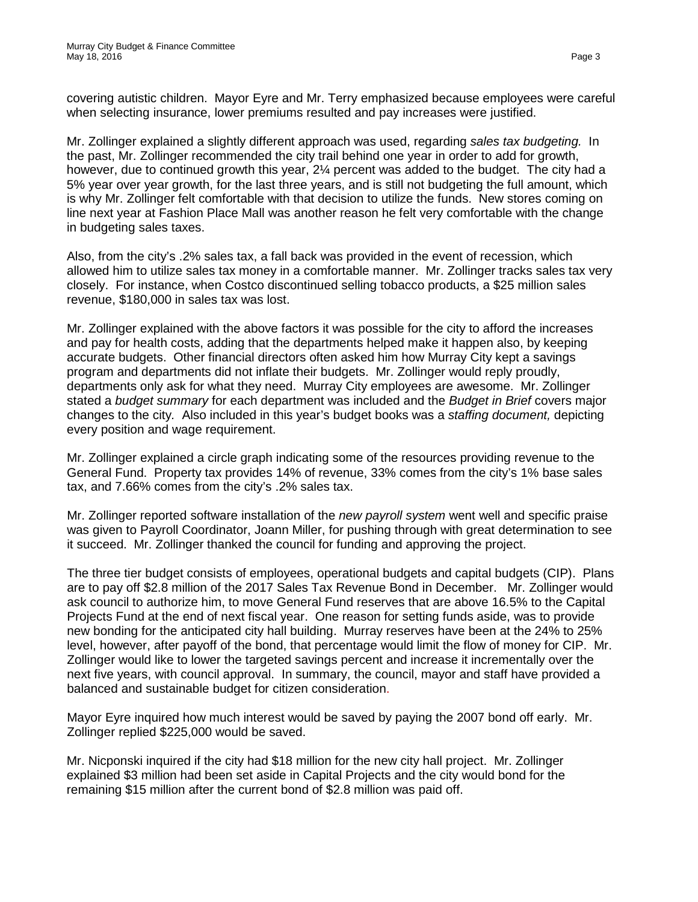covering autistic children. Mayor Eyre and Mr. Terry emphasized because employees were careful when selecting insurance, lower premiums resulted and pay increases were justified.

Mr. Zollinger explained a slightly different approach was used, regarding *sales tax budgeting.* In the past, Mr. Zollinger recommended the city trail behind one year in order to add for growth, however, due to continued growth this year, 2¼ percent was added to the budget. The city had a 5% year over year growth, for the last three years, and is still not budgeting the full amount, which is why Mr. Zollinger felt comfortable with that decision to utilize the funds. New stores coming on line next year at Fashion Place Mall was another reason he felt very comfortable with the change in budgeting sales taxes.

Also, from the city's .2% sales tax, a fall back was provided in the event of recession, which allowed him to utilize sales tax money in a comfortable manner. Mr. Zollinger tracks sales tax very closely. For instance, when Costco discontinued selling tobacco products, a \$25 million sales revenue, \$180,000 in sales tax was lost.

Mr. Zollinger explained with the above factors it was possible for the city to afford the increases and pay for health costs, adding that the departments helped make it happen also, by keeping accurate budgets. Other financial directors often asked him how Murray City kept a savings program and departments did not inflate their budgets. Mr. Zollinger would reply proudly, departments only ask for what they need. Murray City employees are awesome. Mr. Zollinger stated a *budget summary* for each department was included and the *Budget in Brief* covers major changes to the city*.* Also included in this year's budget books was a *staffing document,* depicting every position and wage requirement.

Mr. Zollinger explained a circle graph indicating some of the resources providing revenue to the General Fund. Property tax provides 14% of revenue, 33% comes from the city's 1% base sales tax, and 7.66% comes from the city's .2% sales tax.

Mr. Zollinger reported software installation of the *new payroll system* went well and specific praise was given to Payroll Coordinator, Joann Miller, for pushing through with great determination to see it succeed. Mr. Zollinger thanked the council for funding and approving the project.

The three tier budget consists of employees, operational budgets and capital budgets (CIP). Plans are to pay off \$2.8 million of the 2017 Sales Tax Revenue Bond in December. Mr. Zollinger would ask council to authorize him, to move General Fund reserves that are above 16.5% to the Capital Projects Fund at the end of next fiscal year. One reason for setting funds aside, was to provide new bonding for the anticipated city hall building. Murray reserves have been at the 24% to 25% level, however, after payoff of the bond, that percentage would limit the flow of money for CIP. Mr. Zollinger would like to lower the targeted savings percent and increase it incrementally over the next five years, with council approval. In summary, the council, mayor and staff have provided a balanced and sustainable budget for citizen consideration.

Mayor Eyre inquired how much interest would be saved by paying the 2007 bond off early. Mr. Zollinger replied \$225,000 would be saved.

Mr. Nicponski inquired if the city had \$18 million for the new city hall project. Mr. Zollinger explained \$3 million had been set aside in Capital Projects and the city would bond for the remaining \$15 million after the current bond of \$2.8 million was paid off.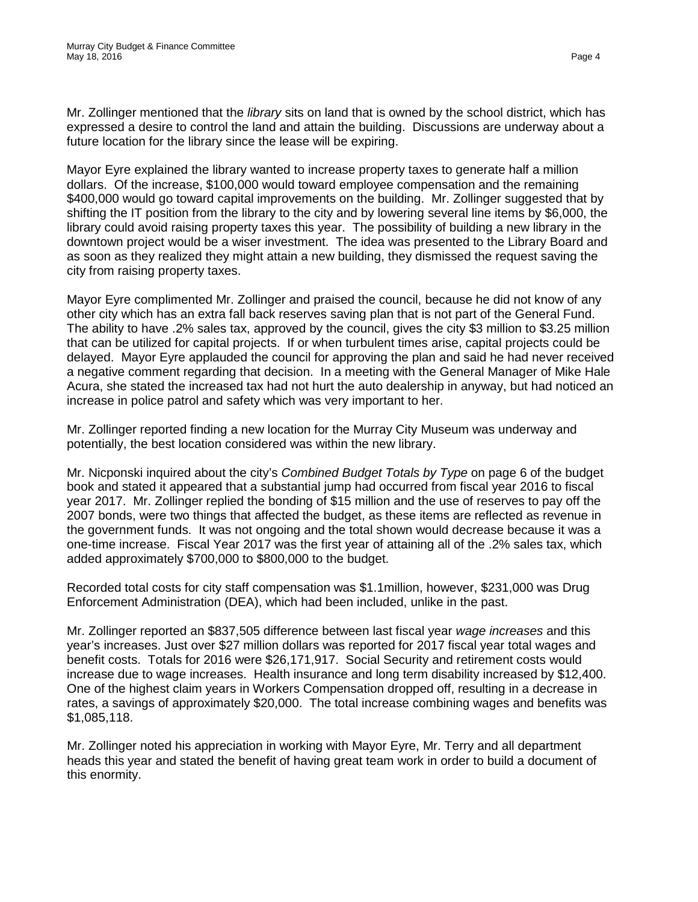Mr. Zollinger mentioned that the *library* sits on land that is owned by the school district, which has expressed a desire to control the land and attain the building. Discussions are underway about a future location for the library since the lease will be expiring.

Mayor Eyre explained the library wanted to increase property taxes to generate half a million dollars. Of the increase, \$100,000 would toward employee compensation and the remaining \$400,000 would go toward capital improvements on the building. Mr. Zollinger suggested that by shifting the IT position from the library to the city and by lowering several line items by \$6,000, the library could avoid raising property taxes this year. The possibility of building a new library in the downtown project would be a wiser investment. The idea was presented to the Library Board and as soon as they realized they might attain a new building, they dismissed the request saving the city from raising property taxes.

Mayor Eyre complimented Mr. Zollinger and praised the council, because he did not know of any other city which has an extra fall back reserves saving plan that is not part of the General Fund. The ability to have .2% sales tax, approved by the council, gives the city \$3 million to \$3.25 million that can be utilized for capital projects. If or when turbulent times arise, capital projects could be delayed. Mayor Eyre applauded the council for approving the plan and said he had never received a negative comment regarding that decision. In a meeting with the General Manager of Mike Hale Acura, she stated the increased tax had not hurt the auto dealership in anyway, but had noticed an increase in police patrol and safety which was very important to her.

Mr. Zollinger reported finding a new location for the Murray City Museum was underway and potentially, the best location considered was within the new library.

Mr. Nicponski inquired about the city's *Combined Budget Totals by Type* on page 6 of the budget book and stated it appeared that a substantial jump had occurred from fiscal year 2016 to fiscal year 2017. Mr. Zollinger replied the bonding of \$15 million and the use of reserves to pay off the 2007 bonds, were two things that affected the budget, as these items are reflected as revenue in the government funds. It was not ongoing and the total shown would decrease because it was a one-time increase. Fiscal Year 2017 was the first year of attaining all of the .2% sales tax, which added approximately \$700,000 to \$800,000 to the budget.

Recorded total costs for city staff compensation was \$1.1million, however, \$231,000 was Drug Enforcement Administration (DEA), which had been included, unlike in the past.

Mr. Zollinger reported an \$837,505 difference between last fiscal year *wage increases* and this year's increases. Just over \$27 million dollars was reported for 2017 fiscal year total wages and benefit costs. Totals for 2016 were \$26,171,917. Social Security and retirement costs would increase due to wage increases. Health insurance and long term disability increased by \$12,400. One of the highest claim years in Workers Compensation dropped off, resulting in a decrease in rates, a savings of approximately \$20,000. The total increase combining wages and benefits was \$1,085,118.

Mr. Zollinger noted his appreciation in working with Mayor Eyre, Mr. Terry and all department heads this year and stated the benefit of having great team work in order to build a document of this enormity.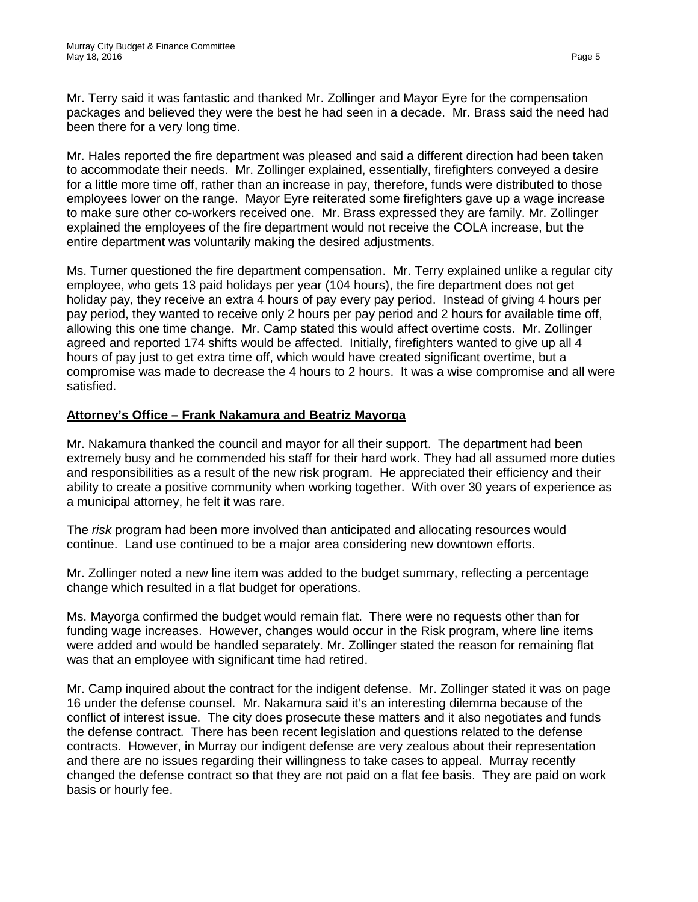Mr. Terry said it was fantastic and thanked Mr. Zollinger and Mayor Eyre for the compensation packages and believed they were the best he had seen in a decade. Mr. Brass said the need had been there for a very long time.

Mr. Hales reported the fire department was pleased and said a different direction had been taken to accommodate their needs. Mr. Zollinger explained, essentially, firefighters conveyed a desire for a little more time off, rather than an increase in pay, therefore, funds were distributed to those employees lower on the range. Mayor Eyre reiterated some firefighters gave up a wage increase to make sure other co-workers received one. Mr. Brass expressed they are family. Mr. Zollinger explained the employees of the fire department would not receive the COLA increase, but the entire department was voluntarily making the desired adjustments.

Ms. Turner questioned the fire department compensation. Mr. Terry explained unlike a regular city employee, who gets 13 paid holidays per year (104 hours), the fire department does not get holiday pay, they receive an extra 4 hours of pay every pay period. Instead of giving 4 hours per pay period, they wanted to receive only 2 hours per pay period and 2 hours for available time off, allowing this one time change. Mr. Camp stated this would affect overtime costs. Mr. Zollinger agreed and reported 174 shifts would be affected. Initially, firefighters wanted to give up all 4 hours of pay just to get extra time off, which would have created significant overtime, but a compromise was made to decrease the 4 hours to 2 hours. It was a wise compromise and all were satisfied.

### **Attorney's Office – Frank Nakamura and Beatriz Mayorga**

Mr. Nakamura thanked the council and mayor for all their support. The department had been extremely busy and he commended his staff for their hard work. They had all assumed more duties and responsibilities as a result of the new risk program. He appreciated their efficiency and their ability to create a positive community when working together. With over 30 years of experience as a municipal attorney, he felt it was rare.

The *risk* program had been more involved than anticipated and allocating resources would continue. Land use continued to be a major area considering new downtown efforts.

Mr. Zollinger noted a new line item was added to the budget summary, reflecting a percentage change which resulted in a flat budget for operations.

Ms. Mayorga confirmed the budget would remain flat. There were no requests other than for funding wage increases. However, changes would occur in the Risk program, where line items were added and would be handled separately. Mr. Zollinger stated the reason for remaining flat was that an employee with significant time had retired.

Mr. Camp inquired about the contract for the indigent defense. Mr. Zollinger stated it was on page 16 under the defense counsel. Mr. Nakamura said it's an interesting dilemma because of the conflict of interest issue. The city does prosecute these matters and it also negotiates and funds the defense contract. There has been recent legislation and questions related to the defense contracts. However, in Murray our indigent defense are very zealous about their representation and there are no issues regarding their willingness to take cases to appeal. Murray recently changed the defense contract so that they are not paid on a flat fee basis. They are paid on work basis or hourly fee.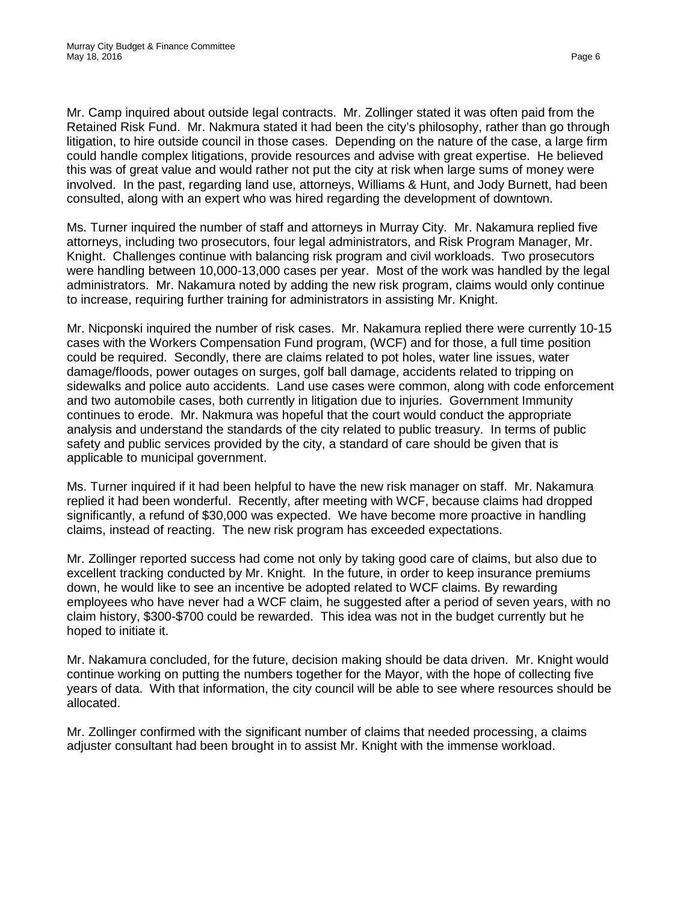Mr. Camp inquired about outside legal contracts. Mr. Zollinger stated it was often paid from the Retained Risk Fund. Mr. Nakmura stated it had been the city's philosophy, rather than go through litigation, to hire outside council in those cases. Depending on the nature of the case, a large firm could handle complex litigations, provide resources and advise with great expertise. He believed this was of great value and would rather not put the city at risk when large sums of money were involved. In the past, regarding land use, attorneys, Williams & Hunt, and Jody Burnett, had been consulted, along with an expert who was hired regarding the development of downtown.

Ms. Turner inquired the number of staff and attorneys in Murray City. Mr. Nakamura replied five attorneys, including two prosecutors, four legal administrators, and Risk Program Manager, Mr. Knight. Challenges continue with balancing risk program and civil workloads. Two prosecutors were handling between 10,000-13,000 cases per year. Most of the work was handled by the legal administrators. Mr. Nakamura noted by adding the new risk program, claims would only continue to increase, requiring further training for administrators in assisting Mr. Knight.

Mr. Nicponski inquired the number of risk cases. Mr. Nakamura replied there were currently 10-15 cases with the Workers Compensation Fund program, (WCF) and for those, a full time position could be required. Secondly, there are claims related to pot holes, water line issues, water damage/floods, power outages on surges, golf ball damage, accidents related to tripping on sidewalks and police auto accidents. Land use cases were common, along with code enforcement and two automobile cases, both currently in litigation due to injuries. Government Immunity continues to erode. Mr. Nakmura was hopeful that the court would conduct the appropriate analysis and understand the standards of the city related to public treasury. In terms of public safety and public services provided by the city, a standard of care should be given that is applicable to municipal government.

Ms. Turner inquired if it had been helpful to have the new risk manager on staff. Mr. Nakamura replied it had been wonderful. Recently, after meeting with WCF, because claims had dropped significantly, a refund of \$30,000 was expected. We have become more proactive in handling claims, instead of reacting. The new risk program has exceeded expectations.

Mr. Zollinger reported success had come not only by taking good care of claims, but also due to excellent tracking conducted by Mr. Knight. In the future, in order to keep insurance premiums down, he would like to see an incentive be adopted related to WCF claims. By rewarding employees who have never had a WCF claim, he suggested after a period of seven years, with no claim history, \$300-\$700 could be rewarded. This idea was not in the budget currently but he hoped to initiate it.

Mr. Nakamura concluded, for the future, decision making should be data driven. Mr. Knight would continue working on putting the numbers together for the Mayor, with the hope of collecting five years of data. With that information, the city council will be able to see where resources should be allocated.

Mr. Zollinger confirmed with the significant number of claims that needed processing, a claims adjuster consultant had been brought in to assist Mr. Knight with the immense workload.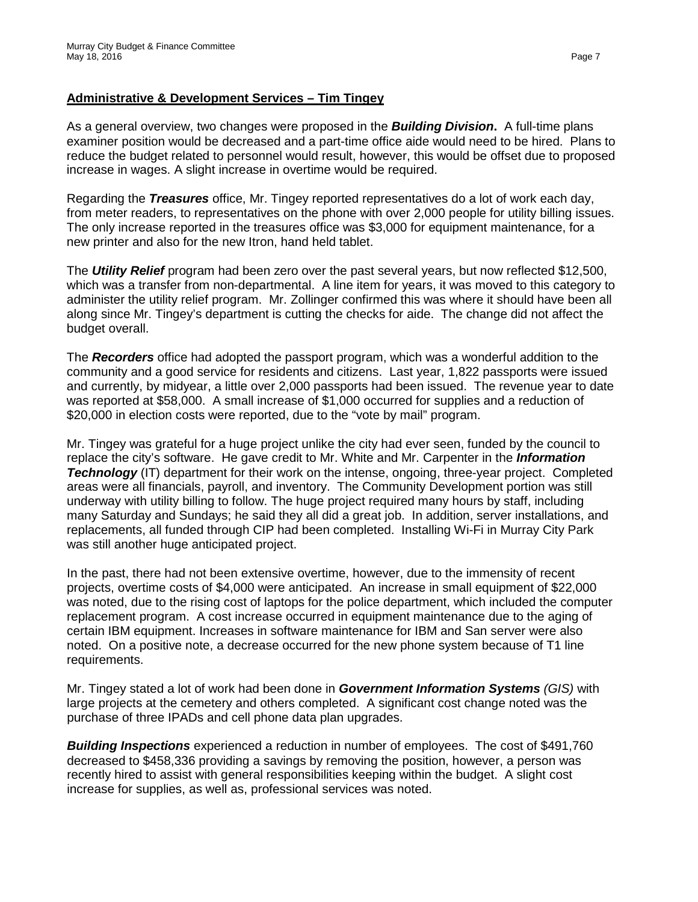# **Administrative & Development Services – Tim Tingey**

As a general overview, two changes were proposed in the *Building Division***.** A full-time plans examiner position would be decreased and a part-time office aide would need to be hired. Plans to reduce the budget related to personnel would result, however, this would be offset due to proposed increase in wages. A slight increase in overtime would be required.

Regarding the *Treasures* office, Mr. Tingey reported representatives do a lot of work each day, from meter readers, to representatives on the phone with over 2,000 people for utility billing issues. The only increase reported in the treasures office was \$3,000 for equipment maintenance, for a new printer and also for the new Itron, hand held tablet.

The *Utility Relief* program had been zero over the past several years, but now reflected \$12,500, which was a transfer from non-departmental. A line item for years, it was moved to this category to administer the utility relief program. Mr. Zollinger confirmed this was where it should have been all along since Mr. Tingey's department is cutting the checks for aide. The change did not affect the budget overall.

The *Recorders* office had adopted the passport program, which was a wonderful addition to the community and a good service for residents and citizens. Last year, 1,822 passports were issued and currently, by midyear, a little over 2,000 passports had been issued. The revenue year to date was reported at \$58,000. A small increase of \$1,000 occurred for supplies and a reduction of \$20,000 in election costs were reported, due to the "vote by mail" program.

Mr. Tingey was grateful for a huge project unlike the city had ever seen, funded by the council to replace the city's software. He gave credit to Mr. White and Mr. Carpenter in the *Information*  **Technology** (IT) department for their work on the intense, ongoing, three-year project. Completed areas were all financials, payroll, and inventory. The Community Development portion was still underway with utility billing to follow. The huge project required many hours by staff, including many Saturday and Sundays; he said they all did a great job. In addition, server installations, and replacements, all funded through CIP had been completed. Installing Wi-Fi in Murray City Park was still another huge anticipated project.

In the past, there had not been extensive overtime, however, due to the immensity of recent projects, overtime costs of \$4,000 were anticipated. An increase in small equipment of \$22,000 was noted, due to the rising cost of laptops for the police department, which included the computer replacement program. A cost increase occurred in equipment maintenance due to the aging of certain IBM equipment. Increases in software maintenance for IBM and San server were also noted. On a positive note, a decrease occurred for the new phone system because of T1 line requirements.

Mr. Tingey stated a lot of work had been done in *Government Information Systems (GIS)* with large projects at the cemetery and others completed. A significant cost change noted was the purchase of three IPADs and cell phone data plan upgrades.

*Building Inspections* experienced a reduction in number of employees. The cost of \$491,760 decreased to \$458,336 providing a savings by removing the position, however, a person was recently hired to assist with general responsibilities keeping within the budget. A slight cost increase for supplies, as well as, professional services was noted.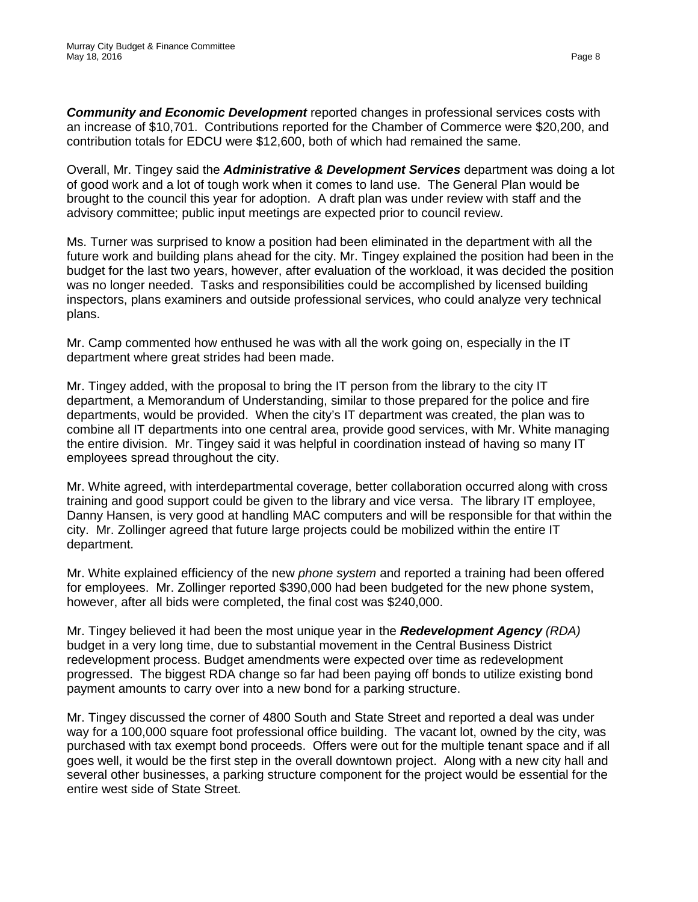*Community and Economic Development* reported changes in professional services costs with an increase of \$10,701. Contributions reported for the Chamber of Commerce were \$20,200, and contribution totals for EDCU were \$12,600, both of which had remained the same.

Overall, Mr. Tingey said the *Administrative & Development Services* department was doing a lot of good work and a lot of tough work when it comes to land use. The General Plan would be brought to the council this year for adoption. A draft plan was under review with staff and the advisory committee; public input meetings are expected prior to council review.

Ms. Turner was surprised to know a position had been eliminated in the department with all the future work and building plans ahead for the city. Mr. Tingey explained the position had been in the budget for the last two years, however, after evaluation of the workload, it was decided the position was no longer needed. Tasks and responsibilities could be accomplished by licensed building inspectors, plans examiners and outside professional services, who could analyze very technical plans.

Mr. Camp commented how enthused he was with all the work going on, especially in the IT department where great strides had been made.

Mr. Tingey added, with the proposal to bring the IT person from the library to the city IT department, a Memorandum of Understanding, similar to those prepared for the police and fire departments, would be provided. When the city's IT department was created, the plan was to combine all IT departments into one central area, provide good services, with Mr. White managing the entire division. Mr. Tingey said it was helpful in coordination instead of having so many IT employees spread throughout the city.

Mr. White agreed, with interdepartmental coverage, better collaboration occurred along with cross training and good support could be given to the library and vice versa. The library IT employee, Danny Hansen, is very good at handling MAC computers and will be responsible for that within the city. Mr. Zollinger agreed that future large projects could be mobilized within the entire IT department.

Mr. White explained efficiency of the new *phone system* and reported a training had been offered for employees. Mr. Zollinger reported \$390,000 had been budgeted for the new phone system, however, after all bids were completed, the final cost was \$240,000.

Mr. Tingey believed it had been the most unique year in the *Redevelopment Agency (RDA)* budget in a very long time, due to substantial movement in the Central Business District redevelopment process. Budget amendments were expected over time as redevelopment progressed. The biggest RDA change so far had been paying off bonds to utilize existing bond payment amounts to carry over into a new bond for a parking structure.

Mr. Tingey discussed the corner of 4800 South and State Street and reported a deal was under way for a 100,000 square foot professional office building. The vacant lot, owned by the city, was purchased with tax exempt bond proceeds. Offers were out for the multiple tenant space and if all goes well, it would be the first step in the overall downtown project. Along with a new city hall and several other businesses, a parking structure component for the project would be essential for the entire west side of State Street.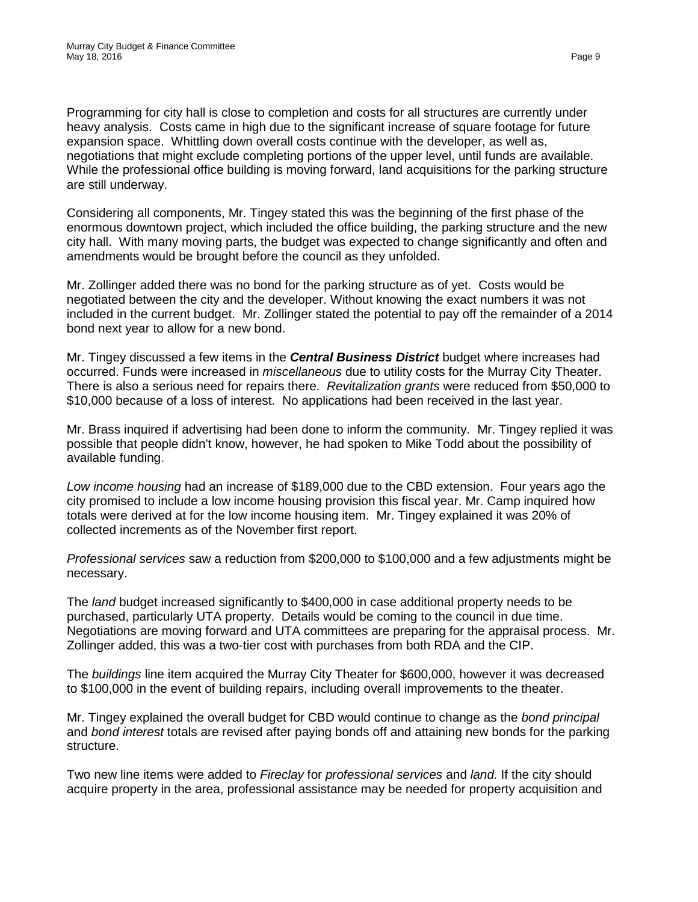Programming for city hall is close to completion and costs for all structures are currently under heavy analysis. Costs came in high due to the significant increase of square footage for future expansion space. Whittling down overall costs continue with the developer, as well as, negotiations that might exclude completing portions of the upper level, until funds are available. While the professional office building is moving forward, land acquisitions for the parking structure are still underway.

Considering all components, Mr. Tingey stated this was the beginning of the first phase of the enormous downtown project, which included the office building, the parking structure and the new city hall. With many moving parts, the budget was expected to change significantly and often and amendments would be brought before the council as they unfolded.

Mr. Zollinger added there was no bond for the parking structure as of yet. Costs would be negotiated between the city and the developer. Without knowing the exact numbers it was not included in the current budget. Mr. Zollinger stated the potential to pay off the remainder of a 2014 bond next year to allow for a new bond.

Mr. Tingey discussed a few items in the *Central Business District* budget where increases had occurred. Funds were increased in *miscellaneous* due to utility costs for the Murray City Theater. There is also a serious need for repairs there. *Revitalization grants* were reduced from \$50,000 to \$10,000 because of a loss of interest. No applications had been received in the last year.

Mr. Brass inquired if advertising had been done to inform the community. Mr. Tingey replied it was possible that people didn't know, however, he had spoken to Mike Todd about the possibility of available funding.

*Low income housing* had an increase of \$189,000 due to the CBD extension. Four years ago the city promised to include a low income housing provision this fiscal year. Mr. Camp inquired how totals were derived at for the low income housing item. Mr. Tingey explained it was 20% of collected increments as of the November first report.

*Professional services* saw a reduction from \$200,000 to \$100,000 and a few adjustments might be necessary.

The *land* budget increased significantly to \$400,000 in case additional property needs to be purchased, particularly UTA property. Details would be coming to the council in due time. Negotiations are moving forward and UTA committees are preparing for the appraisal process. Mr. Zollinger added, this was a two-tier cost with purchases from both RDA and the CIP.

The *buildings* line item acquired the Murray City Theater for \$600,000, however it was decreased to \$100,000 in the event of building repairs, including overall improvements to the theater.

Mr. Tingey explained the overall budget for CBD would continue to change as the *bond principal* and *bond interest* totals are revised after paying bonds off and attaining new bonds for the parking structure.

Two new line items were added to *Fireclay* for *professional services* and *land.* If the city should acquire property in the area, professional assistance may be needed for property acquisition and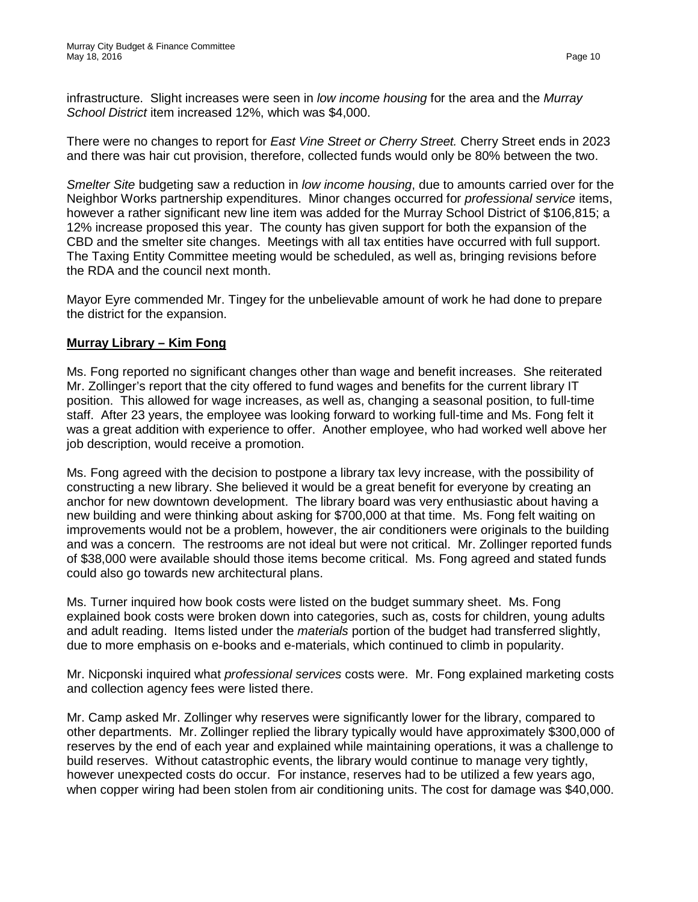infrastructure. Slight increases were seen in *low income housing* for the area and the *Murray School District* item increased 12%, which was \$4,000.

There were no changes to report for *East Vine Street or Cherry Street.* Cherry Street ends in 2023 and there was hair cut provision, therefore, collected funds would only be 80% between the two.

*Smelter Site* budgeting saw a reduction in *low income housing*, due to amounts carried over for the Neighbor Works partnership expenditures. Minor changes occurred for *professional service* items, however a rather significant new line item was added for the Murray School District of \$106,815; a 12% increase proposed this year. The county has given support for both the expansion of the CBD and the smelter site changes. Meetings with all tax entities have occurred with full support. The Taxing Entity Committee meeting would be scheduled, as well as, bringing revisions before the RDA and the council next month.

Mayor Eyre commended Mr. Tingey for the unbelievable amount of work he had done to prepare the district for the expansion.

# **Murray Library – Kim Fong**

Ms. Fong reported no significant changes other than wage and benefit increases. She reiterated Mr. Zollinger's report that the city offered to fund wages and benefits for the current library IT position. This allowed for wage increases, as well as, changing a seasonal position, to full-time staff. After 23 years, the employee was looking forward to working full-time and Ms. Fong felt it was a great addition with experience to offer. Another employee, who had worked well above her job description, would receive a promotion.

Ms. Fong agreed with the decision to postpone a library tax levy increase, with the possibility of constructing a new library. She believed it would be a great benefit for everyone by creating an anchor for new downtown development. The library board was very enthusiastic about having a new building and were thinking about asking for \$700,000 at that time. Ms. Fong felt waiting on improvements would not be a problem, however, the air conditioners were originals to the building and was a concern. The restrooms are not ideal but were not critical. Mr. Zollinger reported funds of \$38,000 were available should those items become critical. Ms. Fong agreed and stated funds could also go towards new architectural plans.

Ms. Turner inquired how book costs were listed on the budget summary sheet. Ms. Fong explained book costs were broken down into categories, such as, costs for children, young adults and adult reading. Items listed under the *materials* portion of the budget had transferred slightly, due to more emphasis on e-books and e-materials, which continued to climb in popularity.

Mr. Nicponski inquired what *professional services* costs were. Mr. Fong explained marketing costs and collection agency fees were listed there.

Mr. Camp asked Mr. Zollinger why reserves were significantly lower for the library, compared to other departments. Mr. Zollinger replied the library typically would have approximately \$300,000 of reserves by the end of each year and explained while maintaining operations, it was a challenge to build reserves. Without catastrophic events, the library would continue to manage very tightly, however unexpected costs do occur. For instance, reserves had to be utilized a few years ago, when copper wiring had been stolen from air conditioning units. The cost for damage was \$40,000.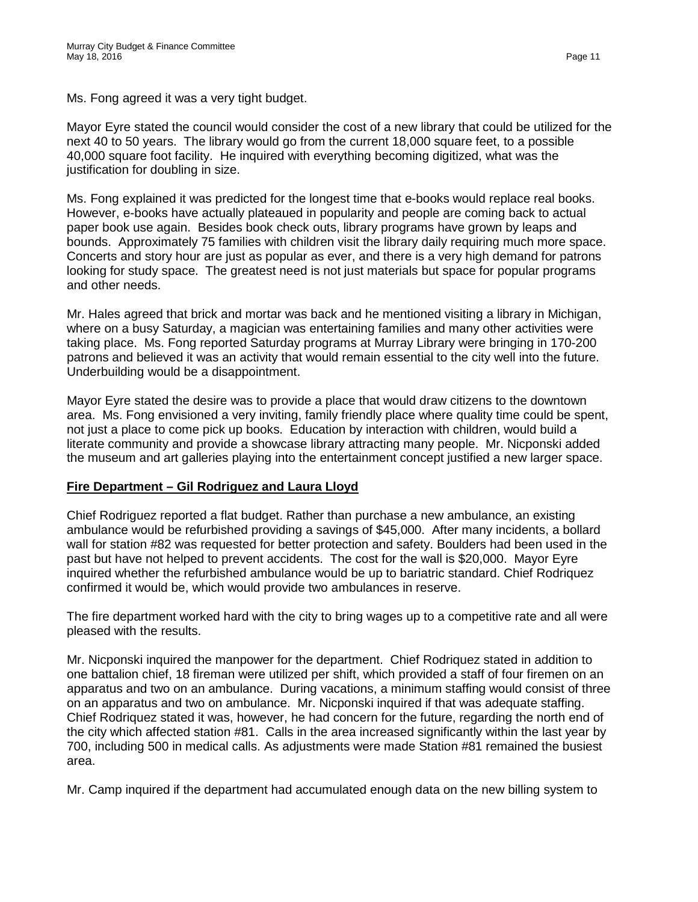Ms. Fong agreed it was a very tight budget.

Mayor Eyre stated the council would consider the cost of a new library that could be utilized for the next 40 to 50 years. The library would go from the current 18,000 square feet, to a possible 40,000 square foot facility. He inquired with everything becoming digitized, what was the justification for doubling in size.

Ms. Fong explained it was predicted for the longest time that e-books would replace real books. However, e-books have actually plateaued in popularity and people are coming back to actual paper book use again. Besides book check outs, library programs have grown by leaps and bounds. Approximately 75 families with children visit the library daily requiring much more space. Concerts and story hour are just as popular as ever, and there is a very high demand for patrons looking for study space. The greatest need is not just materials but space for popular programs and other needs.

Mr. Hales agreed that brick and mortar was back and he mentioned visiting a library in Michigan, where on a busy Saturday, a magician was entertaining families and many other activities were taking place. Ms. Fong reported Saturday programs at Murray Library were bringing in 170-200 patrons and believed it was an activity that would remain essential to the city well into the future. Underbuilding would be a disappointment.

Mayor Eyre stated the desire was to provide a place that would draw citizens to the downtown area. Ms. Fong envisioned a very inviting, family friendly place where quality time could be spent, not just a place to come pick up books. Education by interaction with children, would build a literate community and provide a showcase library attracting many people. Mr. Nicponski added the museum and art galleries playing into the entertainment concept justified a new larger space.

# **Fire Department – Gil Rodriguez and Laura Lloyd**

Chief Rodriguez reported a flat budget. Rather than purchase a new ambulance, an existing ambulance would be refurbished providing a savings of \$45,000. After many incidents, a bollard wall for station #82 was requested for better protection and safety. Boulders had been used in the past but have not helped to prevent accidents. The cost for the wall is \$20,000. Mayor Eyre inquired whether the refurbished ambulance would be up to bariatric standard. Chief Rodriquez confirmed it would be, which would provide two ambulances in reserve.

The fire department worked hard with the city to bring wages up to a competitive rate and all were pleased with the results.

Mr. Nicponski inquired the manpower for the department. Chief Rodriquez stated in addition to one battalion chief, 18 fireman were utilized per shift, which provided a staff of four firemen on an apparatus and two on an ambulance. During vacations, a minimum staffing would consist of three on an apparatus and two on ambulance. Mr. Nicponski inquired if that was adequate staffing. Chief Rodriquez stated it was, however, he had concern for the future, regarding the north end of the city which affected station #81. Calls in the area increased significantly within the last year by 700, including 500 in medical calls. As adjustments were made Station #81 remained the busiest area.

Mr. Camp inquired if the department had accumulated enough data on the new billing system to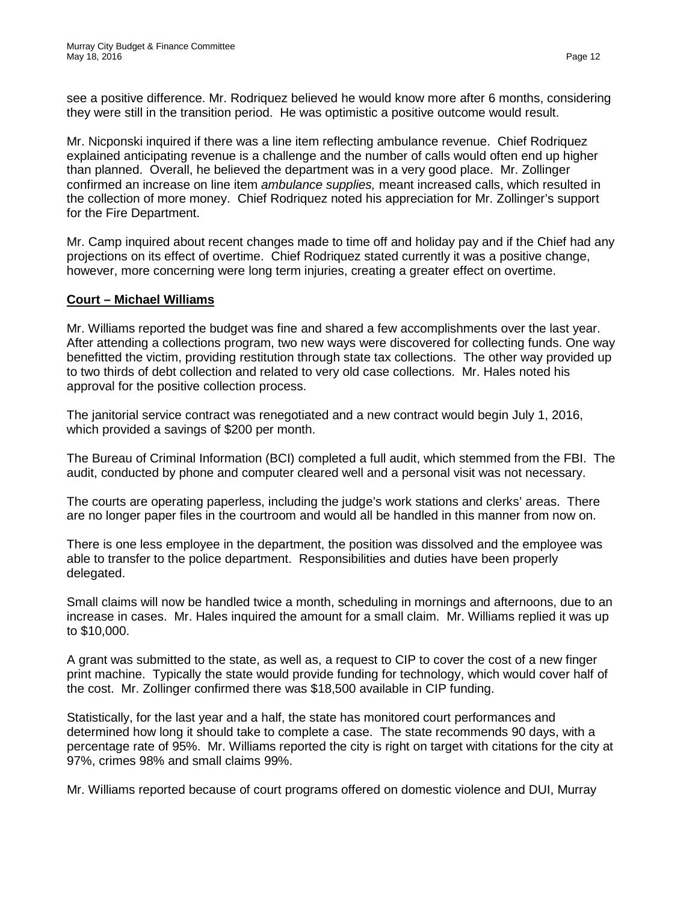see a positive difference. Mr. Rodriquez believed he would know more after 6 months, considering they were still in the transition period. He was optimistic a positive outcome would result.

Mr. Nicponski inquired if there was a line item reflecting ambulance revenue. Chief Rodriquez explained anticipating revenue is a challenge and the number of calls would often end up higher than planned. Overall, he believed the department was in a very good place. Mr. Zollinger confirmed an increase on line item *ambulance supplies,* meant increased calls, which resulted in the collection of more money. Chief Rodriquez noted his appreciation for Mr. Zollinger's support for the Fire Department.

Mr. Camp inquired about recent changes made to time off and holiday pay and if the Chief had any projections on its effect of overtime. Chief Rodriquez stated currently it was a positive change, however, more concerning were long term injuries, creating a greater effect on overtime.

#### **Court – Michael Williams**

Mr. Williams reported the budget was fine and shared a few accomplishments over the last year. After attending a collections program, two new ways were discovered for collecting funds. One way benefitted the victim, providing restitution through state tax collections. The other way provided up to two thirds of debt collection and related to very old case collections. Mr. Hales noted his approval for the positive collection process.

The janitorial service contract was renegotiated and a new contract would begin July 1, 2016, which provided a savings of \$200 per month.

The Bureau of Criminal Information (BCI) completed a full audit, which stemmed from the FBI. The audit, conducted by phone and computer cleared well and a personal visit was not necessary.

The courts are operating paperless, including the judge's work stations and clerks' areas. There are no longer paper files in the courtroom and would all be handled in this manner from now on.

There is one less employee in the department, the position was dissolved and the employee was able to transfer to the police department. Responsibilities and duties have been properly delegated.

Small claims will now be handled twice a month, scheduling in mornings and afternoons, due to an increase in cases. Mr. Hales inquired the amount for a small claim. Mr. Williams replied it was up to \$10,000.

A grant was submitted to the state, as well as, a request to CIP to cover the cost of a new finger print machine. Typically the state would provide funding for technology, which would cover half of the cost. Mr. Zollinger confirmed there was \$18,500 available in CIP funding.

Statistically, for the last year and a half, the state has monitored court performances and determined how long it should take to complete a case. The state recommends 90 days, with a percentage rate of 95%. Mr. Williams reported the city is right on target with citations for the city at 97%, crimes 98% and small claims 99%.

Mr. Williams reported because of court programs offered on domestic violence and DUI, Murray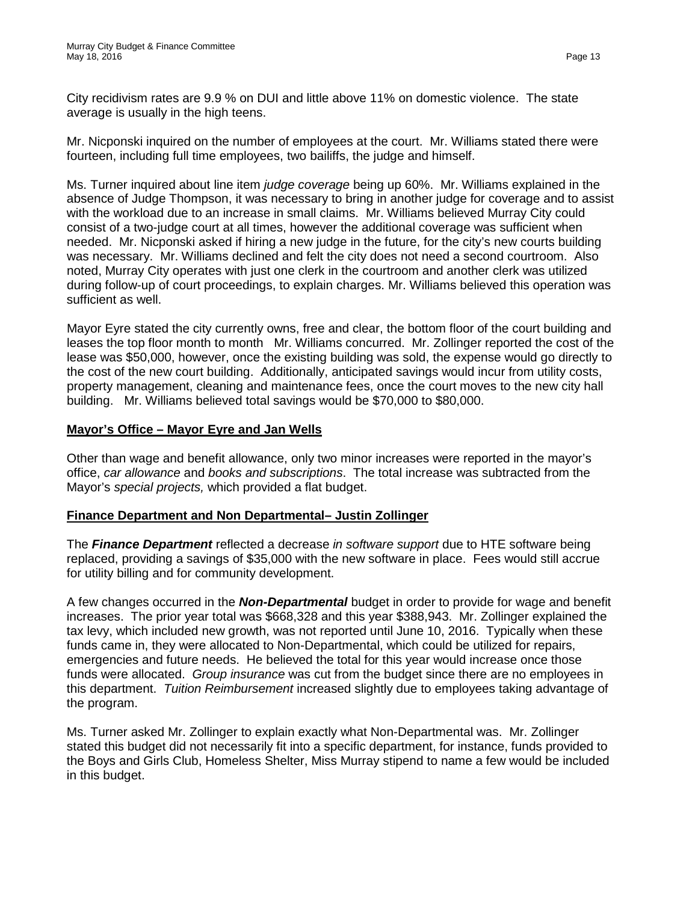City recidivism rates are 9.9 % on DUI and little above 11% on domestic violence. The state average is usually in the high teens.

Mr. Nicponski inquired on the number of employees at the court. Mr. Williams stated there were fourteen, including full time employees, two bailiffs, the judge and himself.

Ms. Turner inquired about line item *judge coverage* being up 60%. Mr. Williams explained in the absence of Judge Thompson, it was necessary to bring in another judge for coverage and to assist with the workload due to an increase in small claims. Mr. Williams believed Murray City could consist of a two-judge court at all times, however the additional coverage was sufficient when needed. Mr. Nicponski asked if hiring a new judge in the future, for the city's new courts building was necessary. Mr. Williams declined and felt the city does not need a second courtroom. Also noted, Murray City operates with just one clerk in the courtroom and another clerk was utilized during follow-up of court proceedings, to explain charges. Mr. Williams believed this operation was sufficient as well.

Mayor Eyre stated the city currently owns, free and clear, the bottom floor of the court building and leases the top floor month to month Mr. Williams concurred. Mr. Zollinger reported the cost of the lease was \$50,000, however, once the existing building was sold, the expense would go directly to the cost of the new court building. Additionally, anticipated savings would incur from utility costs, property management, cleaning and maintenance fees, once the court moves to the new city hall building. Mr. Williams believed total savings would be \$70,000 to \$80,000.

### **Mayor's Office – Mayor Eyre and Jan Wells**

Other than wage and benefit allowance, only two minor increases were reported in the mayor's office, *car allowance* and *books and subscriptions*. The total increase was subtracted from the Mayor's *special projects,* which provided a flat budget.

#### **Finance Department and Non Departmental– Justin Zollinger**

The *Finance Department* reflected a decrease *in software support* due to HTE software being replaced, providing a savings of \$35,000 with the new software in place. Fees would still accrue for utility billing and for community development.

A few changes occurred in the *Non-Departmental* budget in order to provide for wage and benefit increases. The prior year total was \$668,328 and this year \$388,943. Mr. Zollinger explained the tax levy, which included new growth, was not reported until June 10, 2016. Typically when these funds came in, they were allocated to Non-Departmental, which could be utilized for repairs, emergencies and future needs. He believed the total for this year would increase once those funds were allocated. *Group insurance* was cut from the budget since there are no employees in this department. *Tuition Reimbursement* increased slightly due to employees taking advantage of the program.

Ms. Turner asked Mr. Zollinger to explain exactly what Non-Departmental was. Mr. Zollinger stated this budget did not necessarily fit into a specific department, for instance, funds provided to the Boys and Girls Club, Homeless Shelter, Miss Murray stipend to name a few would be included in this budget.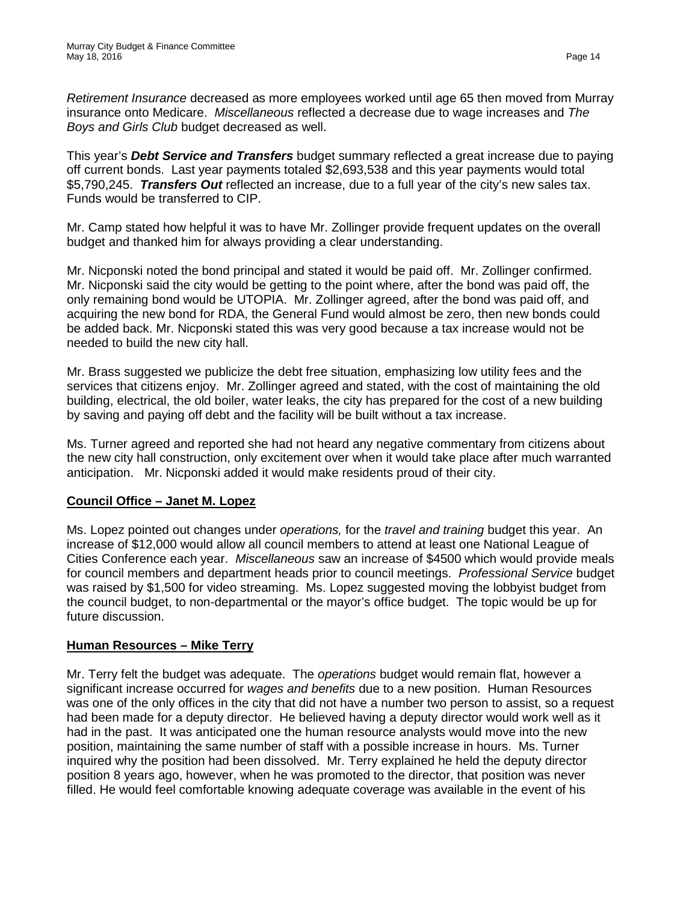*Retirement Insurance* decreased as more employees worked until age 65 then moved from Murray insurance onto Medicare. *Miscellaneous* reflected a decrease due to wage increases and *The Boys and Girls Club* budget decreased as well.

This year's *Debt Service and Transfers* budget summary reflected a great increase due to paying off current bonds. Last year payments totaled \$2,693,538 and this year payments would total \$5,790,245. *Transfers Out* reflected an increase, due to a full year of the city's new sales tax. Funds would be transferred to CIP.

Mr. Camp stated how helpful it was to have Mr. Zollinger provide frequent updates on the overall budget and thanked him for always providing a clear understanding.

Mr. Nicponski noted the bond principal and stated it would be paid off. Mr. Zollinger confirmed. Mr. Nicponski said the city would be getting to the point where, after the bond was paid off, the only remaining bond would be UTOPIA. Mr. Zollinger agreed, after the bond was paid off, and acquiring the new bond for RDA, the General Fund would almost be zero, then new bonds could be added back. Mr. Nicponski stated this was very good because a tax increase would not be needed to build the new city hall.

Mr. Brass suggested we publicize the debt free situation, emphasizing low utility fees and the services that citizens enjoy. Mr. Zollinger agreed and stated, with the cost of maintaining the old building, electrical, the old boiler, water leaks, the city has prepared for the cost of a new building by saving and paying off debt and the facility will be built without a tax increase.

Ms. Turner agreed and reported she had not heard any negative commentary from citizens about the new city hall construction, only excitement over when it would take place after much warranted anticipation. Mr. Nicponski added it would make residents proud of their city.

# **Council Office – Janet M. Lopez**

Ms. Lopez pointed out changes under *operations,* for the *travel and training* budget this year. An increase of \$12,000 would allow all council members to attend at least one National League of Cities Conference each year. *Miscellaneous* saw an increase of \$4500 which would provide meals for council members and department heads prior to council meetings. *Professional Service* budget was raised by \$1,500 for video streaming. Ms. Lopez suggested moving the lobbyist budget from the council budget, to non-departmental or the mayor's office budget. The topic would be up for future discussion.

# **Human Resources – Mike Terry**

Mr. Terry felt the budget was adequate. The *operations* budget would remain flat, however a significant increase occurred for *wages and benefits* due to a new position. Human Resources was one of the only offices in the city that did not have a number two person to assist, so a request had been made for a deputy director. He believed having a deputy director would work well as it had in the past. It was anticipated one the human resource analysts would move into the new position, maintaining the same number of staff with a possible increase in hours. Ms. Turner inquired why the position had been dissolved. Mr. Terry explained he held the deputy director position 8 years ago, however, when he was promoted to the director, that position was never filled. He would feel comfortable knowing adequate coverage was available in the event of his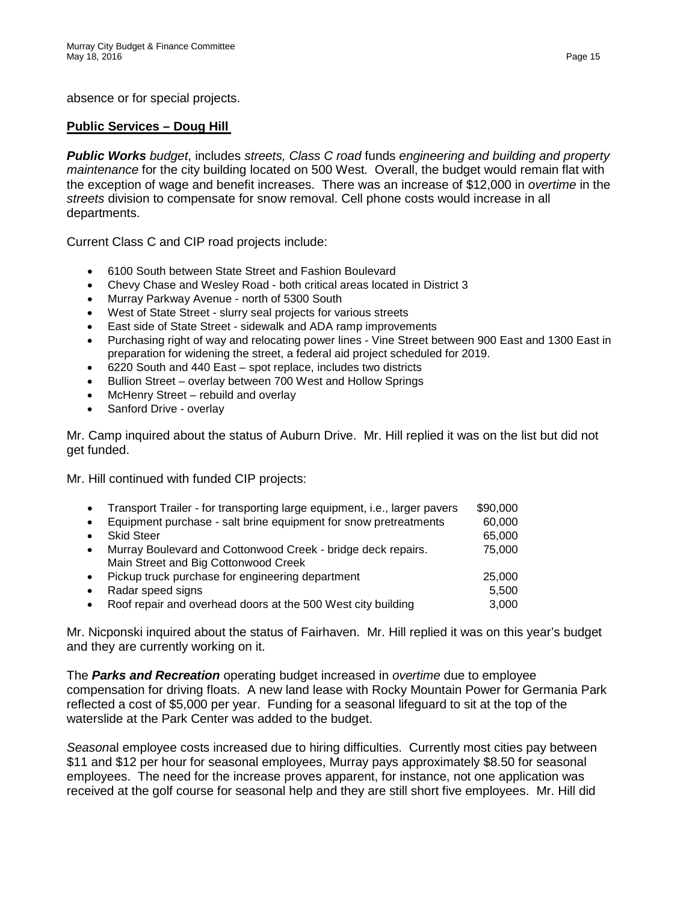absence or for special projects.

#### **Public Services – Doug Hill**

*Public Works budget*, includes *streets, Class C road* funds *engineering and building and property maintenance* for the city building located on 500 West. Overall, the budget would remain flat with the exception of wage and benefit increases. There was an increase of \$12,000 in *overtime* in the *streets* division to compensate for snow removal. Cell phone costs would increase in all departments.

Current Class C and CIP road projects include:

- 6100 South between State Street and Fashion Boulevard
- Chevy Chase and Wesley Road both critical areas located in District 3
- Murray Parkway Avenue north of 5300 South
- West of State Street slurry seal projects for various streets
- East side of State Street sidewalk and ADA ramp improvements
- Purchasing right of way and relocating power lines Vine Street between 900 East and 1300 East in preparation for widening the street, a federal aid project scheduled for 2019.
- 6220 South and 440 East spot replace, includes two districts
- Bullion Street overlay between 700 West and Hollow Springs
- McHenry Street rebuild and overlay
- Sanford Drive overlay

Mr. Camp inquired about the status of Auburn Drive. Mr. Hill replied it was on the list but did not get funded.

Mr. Hill continued with funded CIP projects:

|           | Transport Trailer - for transporting large equipment, i.e., larger pavers | \$90,000 |
|-----------|---------------------------------------------------------------------------|----------|
|           | Equipment purchase - salt brine equipment for snow pretreatments          | 60,000   |
|           | <b>Skid Steer</b>                                                         | 65,000   |
| $\bullet$ | Murray Boulevard and Cottonwood Creek - bridge deck repairs.              | 75,000   |
|           | Main Street and Big Cottonwood Creek                                      |          |
| $\bullet$ | Pickup truck purchase for engineering department                          | 25,000   |
|           | Radar speed signs                                                         | 5,500    |
|           | Roof repair and overhead doors at the 500 West city building              | 3,000    |

Mr. Nicponski inquired about the status of Fairhaven. Mr. Hill replied it was on this year's budget and they are currently working on it.

The *Parks and Recreation* operating budget increased in *overtime* due to employee compensation for driving floats. A new land lease with Rocky Mountain Power for Germania Park reflected a cost of \$5,000 per year. Funding for a seasonal lifeguard to sit at the top of the waterslide at the Park Center was added to the budget.

*Season*al employee costs increased due to hiring difficulties. Currently most cities pay between \$11 and \$12 per hour for seasonal employees, Murray pays approximately \$8.50 for seasonal employees. The need for the increase proves apparent, for instance, not one application was received at the golf course for seasonal help and they are still short five employees. Mr. Hill did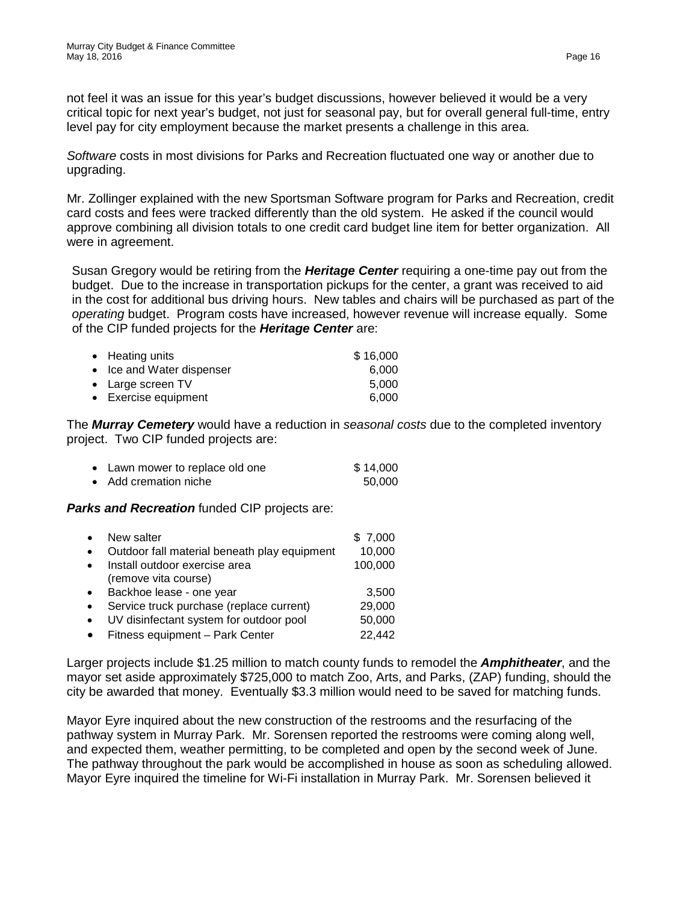not feel it was an issue for this year's budget discussions, however believed it would be a very critical topic for next year's budget, not just for seasonal pay, but for overall general full-time, entry level pay for city employment because the market presents a challenge in this area.

*Software* costs in most divisions for Parks and Recreation fluctuated one way or another due to upgrading.

Mr. Zollinger explained with the new Sportsman Software program for Parks and Recreation, credit card costs and fees were tracked differently than the old system. He asked if the council would approve combining all division totals to one credit card budget line item for better organization. All were in agreement.

Susan Gregory would be retiring from the *Heritage Center* requiring a one-time pay out from the budget. Due to the increase in transportation pickups for the center, a grant was received to aid in the cost for additional bus driving hours. New tables and chairs will be purchased as part of the *operating* budget. Program costs have increased, however revenue will increase equally. Some of the CIP funded projects for the *Heritage Center* are:

| • Heating units           | \$16,000 |
|---------------------------|----------|
| • Ice and Water dispenser | 6.000    |
| • Large screen TV         | 5.000    |
| • Exercise equipment      | 6.000    |

The *Murray Cemetery* would have a reduction in *seasonal costs* due to the completed inventory project. Two CIP funded projects are:

| • Lawn mower to replace old one | \$14,000 |
|---------------------------------|----------|
| • Add cremation niche           | 50,000   |

*Parks and Recreation* funded CIP projects are:

| $\bullet$ | New salter                                   | \$7,000 |
|-----------|----------------------------------------------|---------|
| $\bullet$ | Outdoor fall material beneath play equipment | 10,000  |
| $\bullet$ | Install outdoor exercise area                | 100,000 |
|           | (remove vita course)                         |         |
| $\bullet$ | Backhoe lease - one year                     | 3,500   |
| $\bullet$ | Service truck purchase (replace current)     | 29,000  |
| $\bullet$ | UV disinfectant system for outdoor pool      | 50,000  |
| $\bullet$ | Fitness equipment - Park Center              | 22,442  |

Larger projects include \$1.25 million to match county funds to remodel the *Amphitheater*, and the mayor set aside approximately \$725,000 to match Zoo, Arts, and Parks, (ZAP) funding, should the city be awarded that money. Eventually \$3.3 million would need to be saved for matching funds.

Mayor Eyre inquired about the new construction of the restrooms and the resurfacing of the pathway system in Murray Park. Mr. Sorensen reported the restrooms were coming along well, and expected them, weather permitting, to be completed and open by the second week of June. The pathway throughout the park would be accomplished in house as soon as scheduling allowed. Mayor Eyre inquired the timeline for Wi-Fi installation in Murray Park. Mr. Sorensen believed it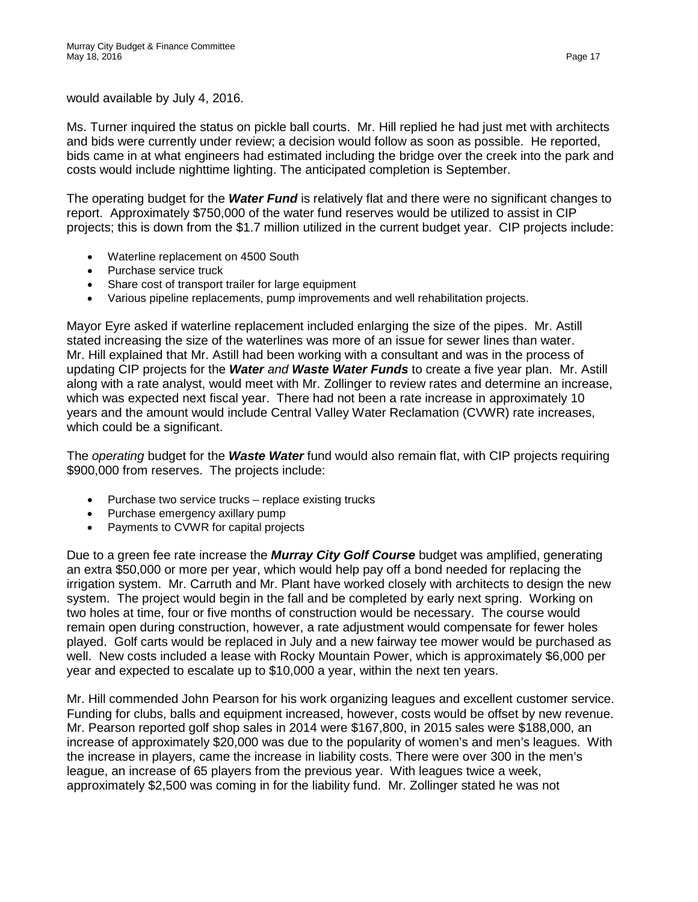would available by July 4, 2016.

Ms. Turner inquired the status on pickle ball courts. Mr. Hill replied he had just met with architects and bids were currently under review; a decision would follow as soon as possible. He reported, bids came in at what engineers had estimated including the bridge over the creek into the park and costs would include nighttime lighting. The anticipated completion is September.

The operating budget for the *Water Fund* is relatively flat and there were no significant changes to report. Approximately \$750,000 of the water fund reserves would be utilized to assist in CIP projects; this is down from the \$1.7 million utilized in the current budget year. CIP projects include:

- Waterline replacement on 4500 South
- Purchase service truck
- Share cost of transport trailer for large equipment
- Various pipeline replacements, pump improvements and well rehabilitation projects.

Mayor Eyre asked if waterline replacement included enlarging the size of the pipes. Mr. Astill stated increasing the size of the waterlines was more of an issue for sewer lines than water. Mr. Hill explained that Mr. Astill had been working with a consultant and was in the process of updating CIP projects for the *Water and Waste Water Funds* to create a five year plan. Mr. Astill along with a rate analyst, would meet with Mr. Zollinger to review rates and determine an increase, which was expected next fiscal year. There had not been a rate increase in approximately 10 years and the amount would include Central Valley Water Reclamation (CVWR) rate increases, which could be a significant.

The *operating* budget for the *Waste Water* fund would also remain flat, with CIP projects requiring \$900,000 from reserves. The projects include:

- Purchase two service trucks replace existing trucks
- Purchase emergency axillary pump
- Payments to CVWR for capital projects

Due to a green fee rate increase the *Murray City Golf Course* budget was amplified, generating an extra \$50,000 or more per year, which would help pay off a bond needed for replacing the irrigation system. Mr. Carruth and Mr. Plant have worked closely with architects to design the new system. The project would begin in the fall and be completed by early next spring. Working on two holes at time, four or five months of construction would be necessary. The course would remain open during construction, however, a rate adjustment would compensate for fewer holes played. Golf carts would be replaced in July and a new fairway tee mower would be purchased as well. New costs included a lease with Rocky Mountain Power, which is approximately \$6,000 per year and expected to escalate up to \$10,000 a year, within the next ten years.

Mr. Hill commended John Pearson for his work organizing leagues and excellent customer service. Funding for clubs, balls and equipment increased, however, costs would be offset by new revenue. Mr. Pearson reported golf shop sales in 2014 were \$167,800, in 2015 sales were \$188,000, an increase of approximately \$20,000 was due to the popularity of women's and men's leagues. With the increase in players, came the increase in liability costs. There were over 300 in the men's league, an increase of 65 players from the previous year. With leagues twice a week, approximately \$2,500 was coming in for the liability fund. Mr. Zollinger stated he was not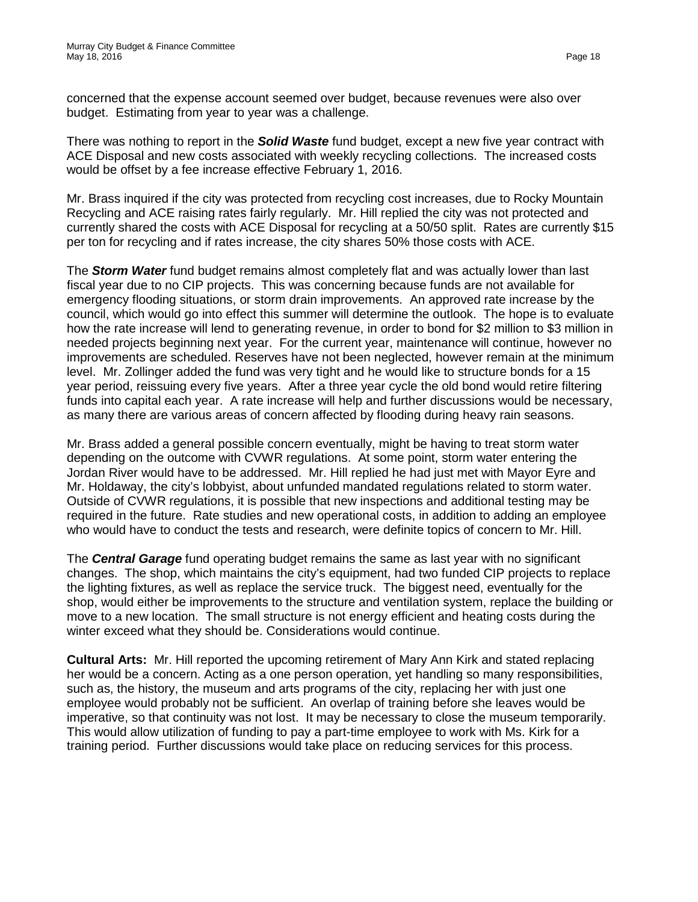concerned that the expense account seemed over budget, because revenues were also over budget. Estimating from year to year was a challenge.

There was nothing to report in the *Solid Waste* fund budget, except a new five year contract with ACE Disposal and new costs associated with weekly recycling collections. The increased costs would be offset by a fee increase effective February 1, 2016.

Mr. Brass inquired if the city was protected from recycling cost increases, due to Rocky Mountain Recycling and ACE raising rates fairly regularly. Mr. Hill replied the city was not protected and currently shared the costs with ACE Disposal for recycling at a 50/50 split. Rates are currently \$15 per ton for recycling and if rates increase, the city shares 50% those costs with ACE.

The *Storm Water* fund budget remains almost completely flat and was actually lower than last fiscal year due to no CIP projects. This was concerning because funds are not available for emergency flooding situations, or storm drain improvements. An approved rate increase by the council, which would go into effect this summer will determine the outlook. The hope is to evaluate how the rate increase will lend to generating revenue, in order to bond for \$2 million to \$3 million in needed projects beginning next year. For the current year, maintenance will continue, however no improvements are scheduled. Reserves have not been neglected, however remain at the minimum level. Mr. Zollinger added the fund was very tight and he would like to structure bonds for a 15 year period, reissuing every five years. After a three year cycle the old bond would retire filtering funds into capital each year. A rate increase will help and further discussions would be necessary, as many there are various areas of concern affected by flooding during heavy rain seasons.

Mr. Brass added a general possible concern eventually, might be having to treat storm water depending on the outcome with CVWR regulations. At some point, storm water entering the Jordan River would have to be addressed. Mr. Hill replied he had just met with Mayor Eyre and Mr. Holdaway, the city's lobbyist, about unfunded mandated regulations related to storm water. Outside of CVWR regulations, it is possible that new inspections and additional testing may be required in the future. Rate studies and new operational costs, in addition to adding an employee who would have to conduct the tests and research, were definite topics of concern to Mr. Hill.

The *Central Garage* fund operating budget remains the same as last year with no significant changes. The shop, which maintains the city's equipment, had two funded CIP projects to replace the lighting fixtures, as well as replace the service truck. The biggest need, eventually for the shop, would either be improvements to the structure and ventilation system, replace the building or move to a new location. The small structure is not energy efficient and heating costs during the winter exceed what they should be. Considerations would continue.

**Cultural Arts:** Mr. Hill reported the upcoming retirement of Mary Ann Kirk and stated replacing her would be a concern. Acting as a one person operation, yet handling so many responsibilities, such as, the history, the museum and arts programs of the city, replacing her with just one employee would probably not be sufficient. An overlap of training before she leaves would be imperative, so that continuity was not lost. It may be necessary to close the museum temporarily. This would allow utilization of funding to pay a part-time employee to work with Ms. Kirk for a training period. Further discussions would take place on reducing services for this process.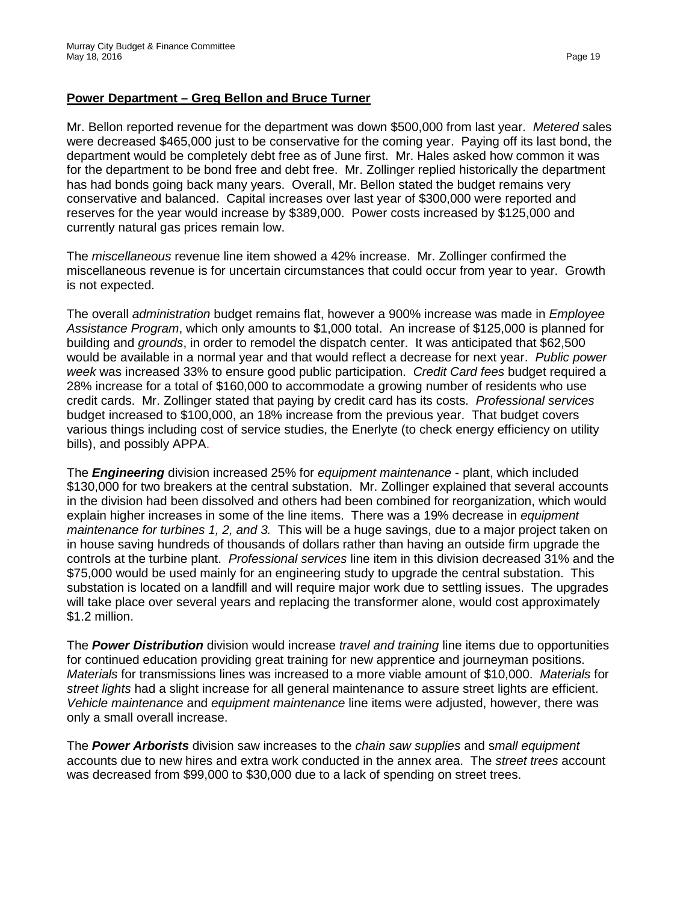### **Power Department – Greg Bellon and Bruce Turner**

Mr. Bellon reported revenue for the department was down \$500,000 from last year. *Metered* sales were decreased \$465,000 just to be conservative for the coming year. Paying off its last bond, the department would be completely debt free as of June first. Mr. Hales asked how common it was for the department to be bond free and debt free. Mr. Zollinger replied historically the department has had bonds going back many years. Overall, Mr. Bellon stated the budget remains very conservative and balanced. Capital increases over last year of \$300,000 were reported and reserves for the year would increase by \$389,000. Power costs increased by \$125,000 and currently natural gas prices remain low.

The *miscellaneous* revenue line item showed a 42% increase. Mr. Zollinger confirmed the miscellaneous revenue is for uncertain circumstances that could occur from year to year. Growth is not expected.

The overall *administration* budget remains flat, however a 900% increase was made in *Employee Assistance Program*, which only amounts to \$1,000 total. An increase of \$125,000 is planned for building and *grounds*, in order to remodel the dispatch center. It was anticipated that \$62,500 would be available in a normal year and that would reflect a decrease for next year. *Public power week* was increased 33% to ensure good public participation. *Credit Card fees* budget required a 28% increase for a total of \$160,000 to accommodate a growing number of residents who use credit cards. Mr. Zollinger stated that paying by credit card has its costs. *Professional services* budget increased to \$100,000, an 18% increase from the previous year. That budget covers various things including cost of service studies, the Enerlyte (to check energy efficiency on utility bills), and possibly APPA.

The *Engineering* division increased 25% for *equipment maintenance* - plant, which included \$130,000 for two breakers at the central substation. Mr. Zollinger explained that several accounts in the division had been dissolved and others had been combined for reorganization, which would explain higher increases in some of the line items. There was a 19% decrease in *equipment maintenance for turbines 1, 2, and 3.* This will be a huge savings, due to a major project taken on in house saving hundreds of thousands of dollars rather than having an outside firm upgrade the controls at the turbine plant. *Professional services* line item in this division decreased 31% and the \$75,000 would be used mainly for an engineering study to upgrade the central substation. This substation is located on a landfill and will require major work due to settling issues. The upgrades will take place over several years and replacing the transformer alone, would cost approximately \$1.2 million.

The *Power Distribution* division would increase *travel and training* line items due to opportunities for continued education providing great training for new apprentice and journeyman positions. *Materials* for transmissions lines was increased to a more viable amount of \$10,000. *Materials* for *street lights* had a slight increase for all general maintenance to assure street lights are efficient. *Vehicle maintenance* and *equipment maintenance* line items were adjusted, however, there was only a small overall increase.

The *Power Arborists* division saw increases to the *chain saw supplies* and s*mall equipment* accounts due to new hires and extra work conducted in the annex area. The *street trees* account was decreased from \$99,000 to \$30,000 due to a lack of spending on street trees.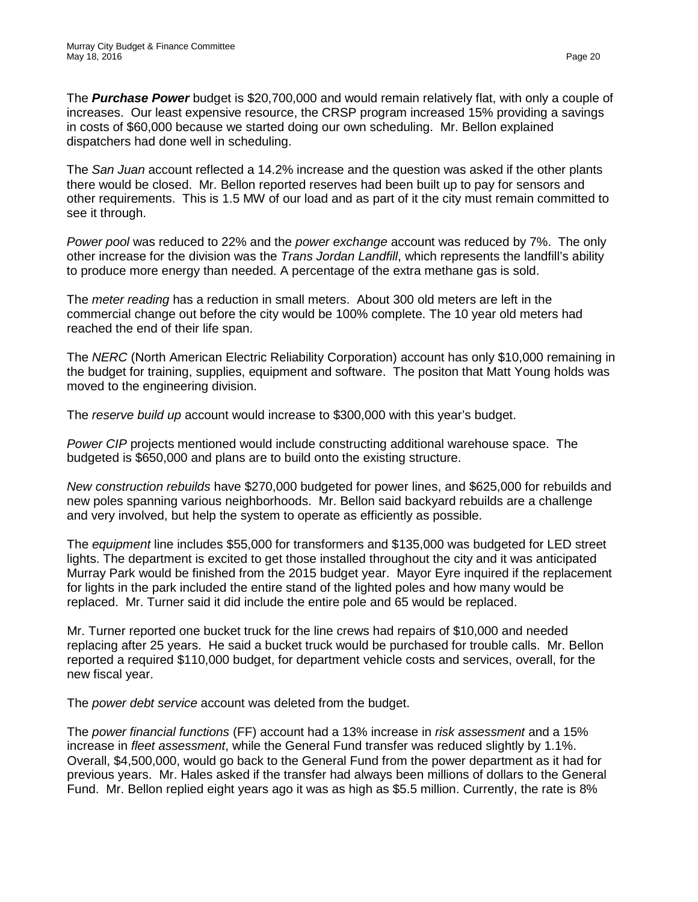The *Purchase Power* budget is \$20,700,000 and would remain relatively flat, with only a couple of increases. Our least expensive resource, the CRSP program increased 15% providing a savings in costs of \$60,000 because we started doing our own scheduling. Mr. Bellon explained dispatchers had done well in scheduling.

The *San Juan* account reflected a 14.2% increase and the question was asked if the other plants there would be closed. Mr. Bellon reported reserves had been built up to pay for sensors and other requirements. This is 1.5 MW of our load and as part of it the city must remain committed to see it through.

*Power pool* was reduced to 22% and the *power exchange* account was reduced by 7%. The only other increase for the division was the *Trans Jordan Landfill*, which represents the landfill's ability to produce more energy than needed. A percentage of the extra methane gas is sold.

The *meter reading* has a reduction in small meters. About 300 old meters are left in the commercial change out before the city would be 100% complete. The 10 year old meters had reached the end of their life span.

The *NERC* (North American Electric Reliability Corporation) account has only \$10,000 remaining in the budget for training, supplies, equipment and software. The positon that Matt Young holds was moved to the engineering division.

The *reserve build up* account would increase to \$300,000 with this year's budget.

*Power CIP* projects mentioned would include constructing additional warehouse space. The budgeted is \$650,000 and plans are to build onto the existing structure.

*New construction rebuilds* have \$270,000 budgeted for power lines, and \$625,000 for rebuilds and new poles spanning various neighborhoods. Mr. Bellon said backyard rebuilds are a challenge and very involved, but help the system to operate as efficiently as possible.

The *equipment* line includes \$55,000 for transformers and \$135,000 was budgeted for LED street lights. The department is excited to get those installed throughout the city and it was anticipated Murray Park would be finished from the 2015 budget year. Mayor Eyre inquired if the replacement for lights in the park included the entire stand of the lighted poles and how many would be replaced. Mr. Turner said it did include the entire pole and 65 would be replaced.

Mr. Turner reported one bucket truck for the line crews had repairs of \$10,000 and needed replacing after 25 years. He said a bucket truck would be purchased for trouble calls. Mr. Bellon reported a required \$110,000 budget, for department vehicle costs and services, overall, for the new fiscal year.

The *power debt service* account was deleted from the budget.

The *power financial functions* (FF) account had a 13% increase in *risk assessment* and a 15% increase in *fleet assessment*, while the General Fund transfer was reduced slightly by 1.1%. Overall, \$4,500,000, would go back to the General Fund from the power department as it had for previous years. Mr. Hales asked if the transfer had always been millions of dollars to the General Fund. Mr. Bellon replied eight years ago it was as high as \$5.5 million. Currently, the rate is 8%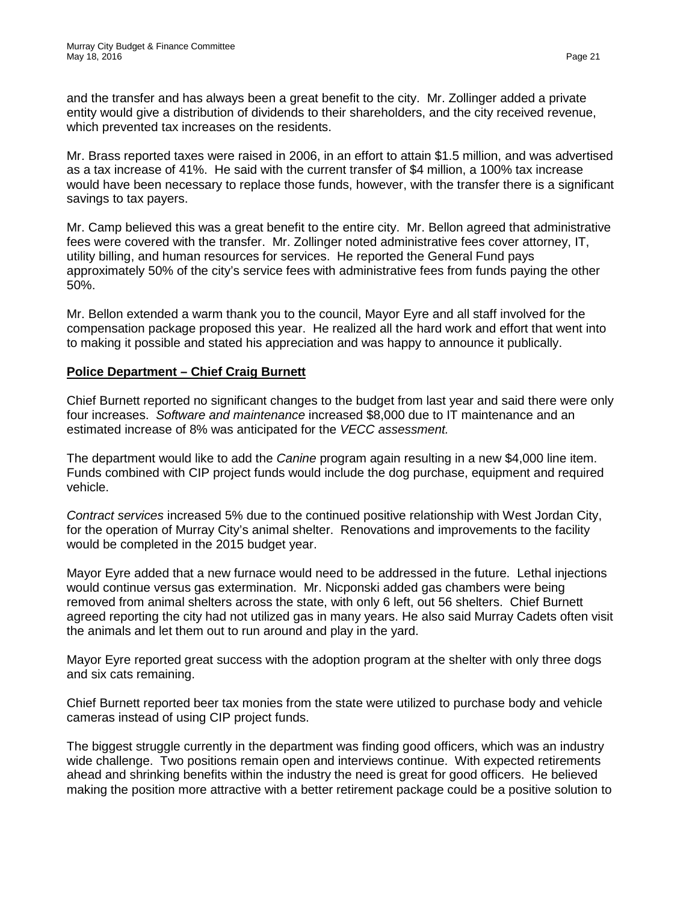and the transfer and has always been a great benefit to the city. Mr. Zollinger added a private entity would give a distribution of dividends to their shareholders, and the city received revenue, which prevented tax increases on the residents.

Mr. Brass reported taxes were raised in 2006, in an effort to attain \$1.5 million, and was advertised as a tax increase of 41%. He said with the current transfer of \$4 million, a 100% tax increase would have been necessary to replace those funds, however, with the transfer there is a significant savings to tax payers.

Mr. Camp believed this was a great benefit to the entire city. Mr. Bellon agreed that administrative fees were covered with the transfer. Mr. Zollinger noted administrative fees cover attorney, IT, utility billing, and human resources for services. He reported the General Fund pays approximately 50% of the city's service fees with administrative fees from funds paying the other 50%.

Mr. Bellon extended a warm thank you to the council, Mayor Eyre and all staff involved for the compensation package proposed this year. He realized all the hard work and effort that went into to making it possible and stated his appreciation and was happy to announce it publically.

# **Police Department – Chief Craig Burnett**

Chief Burnett reported no significant changes to the budget from last year and said there were only four increases. *Software and maintenance* increased \$8,000 due to IT maintenance and an estimated increase of 8% was anticipated for the *VECC assessment.* 

The department would like to add the *Canine* program again resulting in a new \$4,000 line item. Funds combined with CIP project funds would include the dog purchase, equipment and required vehicle.

*Contract services* increased 5% due to the continued positive relationship with West Jordan City, for the operation of Murray City's animal shelter. Renovations and improvements to the facility would be completed in the 2015 budget year.

Mayor Eyre added that a new furnace would need to be addressed in the future. Lethal injections would continue versus gas extermination. Mr. Nicponski added gas chambers were being removed from animal shelters across the state, with only 6 left, out 56 shelters. Chief Burnett agreed reporting the city had not utilized gas in many years. He also said Murray Cadets often visit the animals and let them out to run around and play in the yard.

Mayor Eyre reported great success with the adoption program at the shelter with only three dogs and six cats remaining.

Chief Burnett reported beer tax monies from the state were utilized to purchase body and vehicle cameras instead of using CIP project funds.

The biggest struggle currently in the department was finding good officers, which was an industry wide challenge. Two positions remain open and interviews continue. With expected retirements ahead and shrinking benefits within the industry the need is great for good officers. He believed making the position more attractive with a better retirement package could be a positive solution to